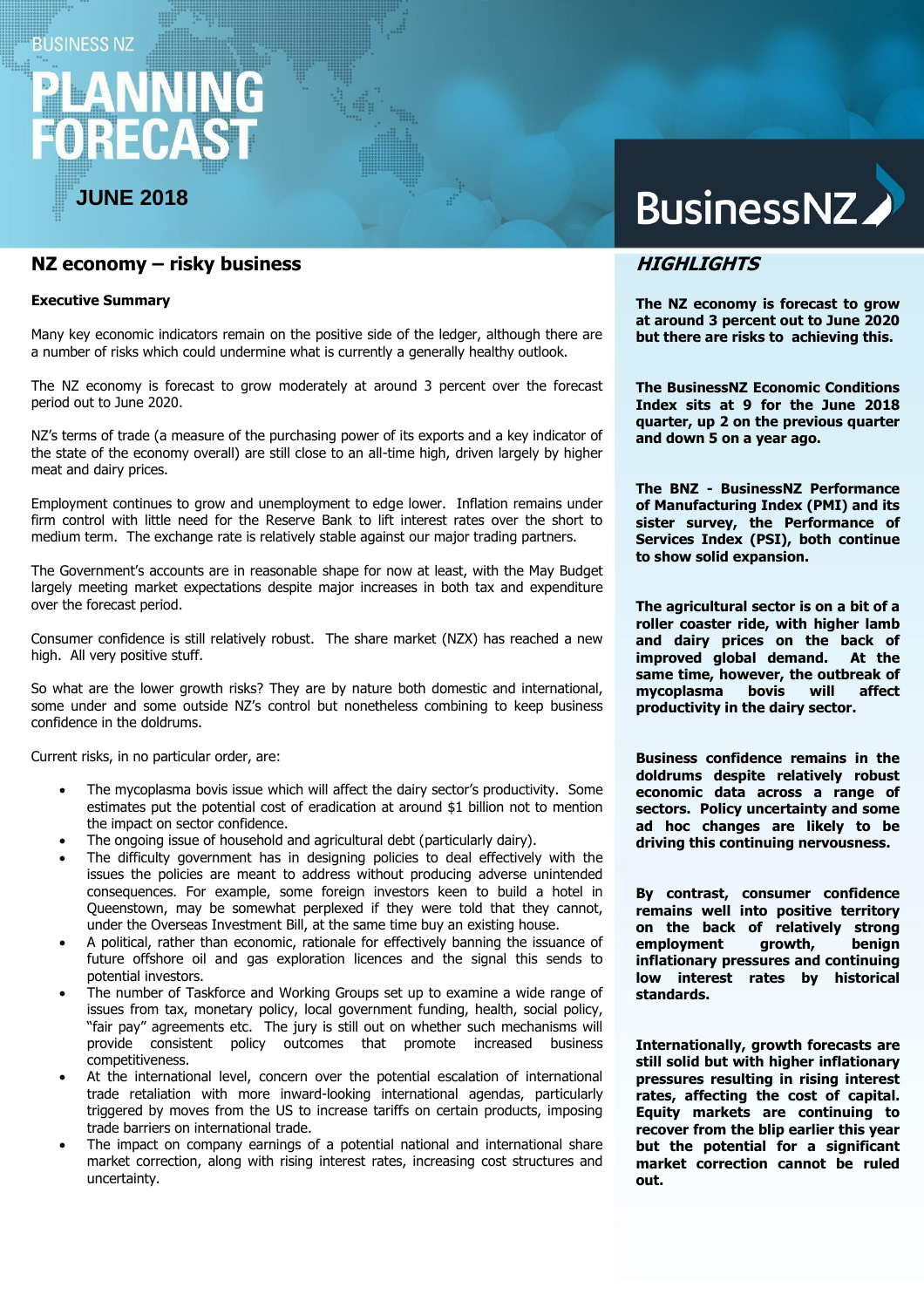# **BUSINESS NZ**

# RECA

**JUNE 2018**

# **NZ economy – risky business**

#### **Executive Summary**

Many key economic indicators remain on the positive side of the ledger, although there are a number of risks which could undermine what is currently a generally healthy outlook.

The NZ economy is forecast to grow moderately at around 3 percent over the forecast period out to June 2020.

NZ's terms of trade (a measure of the purchasing power of its exports and a key indicator of the state of the economy overall) are still close to an all-time high, driven largely by higher meat and dairy prices.

Employment continues to grow and unemployment to edge lower. Inflation remains under firm control with little need for the Reserve Bank to lift interest rates over the short to medium term. The exchange rate is relatively stable against our major trading partners.

The Government's accounts are in reasonable shape for now at least, with the May Budget largely meeting market expectations despite major increases in both tax and expenditure over the forecast period.

Consumer confidence is still relatively robust. The share market (NZX) has reached a new high. All very positive stuff.

So what are the lower growth risks? They are by nature both domestic and international, some under and some outside NZ's control but nonetheless combining to keep business confidence in the doldrums.

Current risks, in no particular order, are:

- The mycoplasma bovis issue which will affect the dairy sector's productivity. Some estimates put the potential cost of eradication at around \$1 billion not to mention the impact on sector confidence.
- The ongoing issue of household and agricultural debt (particularly dairy).
- The difficulty government has in designing policies to deal effectively with the issues the policies are meant to address without producing adverse unintended consequences. For example, some foreign investors keen to build a hotel in Queenstown, may be somewhat perplexed if they were told that they cannot, under the Overseas Investment Bill, at the same time buy an existing house.
- A political, rather than economic, rationale for effectively banning the issuance of future offshore oil and gas exploration licences and the signal this sends to potential investors.
- The number of Taskforce and Working Groups set up to examine a wide range of issues from tax, monetary policy, local government funding, health, social policy, "fair pay" agreements etc. The jury is still out on whether such mechanisms will provide consistent policy outcomes that promote increased business competitiveness.
- At the international level, concern over the potential escalation of international trade retaliation with more inward-looking international agendas, particularly triggered by moves from the US to increase tariffs on certain products, imposing trade barriers on international trade.
- The impact on company earnings of a potential national and international share market correction, along with rising interest rates, increasing cost structures and uncertainty.

# BusinessNZ

# **HIGHLIGHTS**

**The NZ economy is forecast to grow at around 3 percent out to June 2020 but there are risks to achieving this.**

**The BusinessNZ Economic Conditions Index sits at 9 for the June 2018 quarter, up 2 on the previous quarter and down 5 on a year ago.** 

**The BNZ - BusinessNZ Performance of Manufacturing Index (PMI) and its sister survey, the Performance of Services Index (PSI), both continue to show solid expansion.**

**The agricultural sector is on a bit of a roller coaster ride, with higher lamb and dairy prices on the back of improved global demand. At the same time, however, the outbreak of mycoplasma bovis will affect productivity in the dairy sector.**

**Business confidence remains in the doldrums despite relatively robust economic data across a range of sectors. Policy uncertainty and some ad hoc changes are likely to be driving this continuing nervousness.**

**By contrast, consumer confidence remains well into positive territory on the back of relatively strong employment growth, benign inflationary pressures and continuing low interest rates by historical standards.**

**Internationally, growth forecasts are still solid but with higher inflationary pressures resulting in rising interest rates, affecting the cost of capital. Equity markets are continuing to recover from the blip earlier this year but the potential for a significant market correction cannot be ruled out.**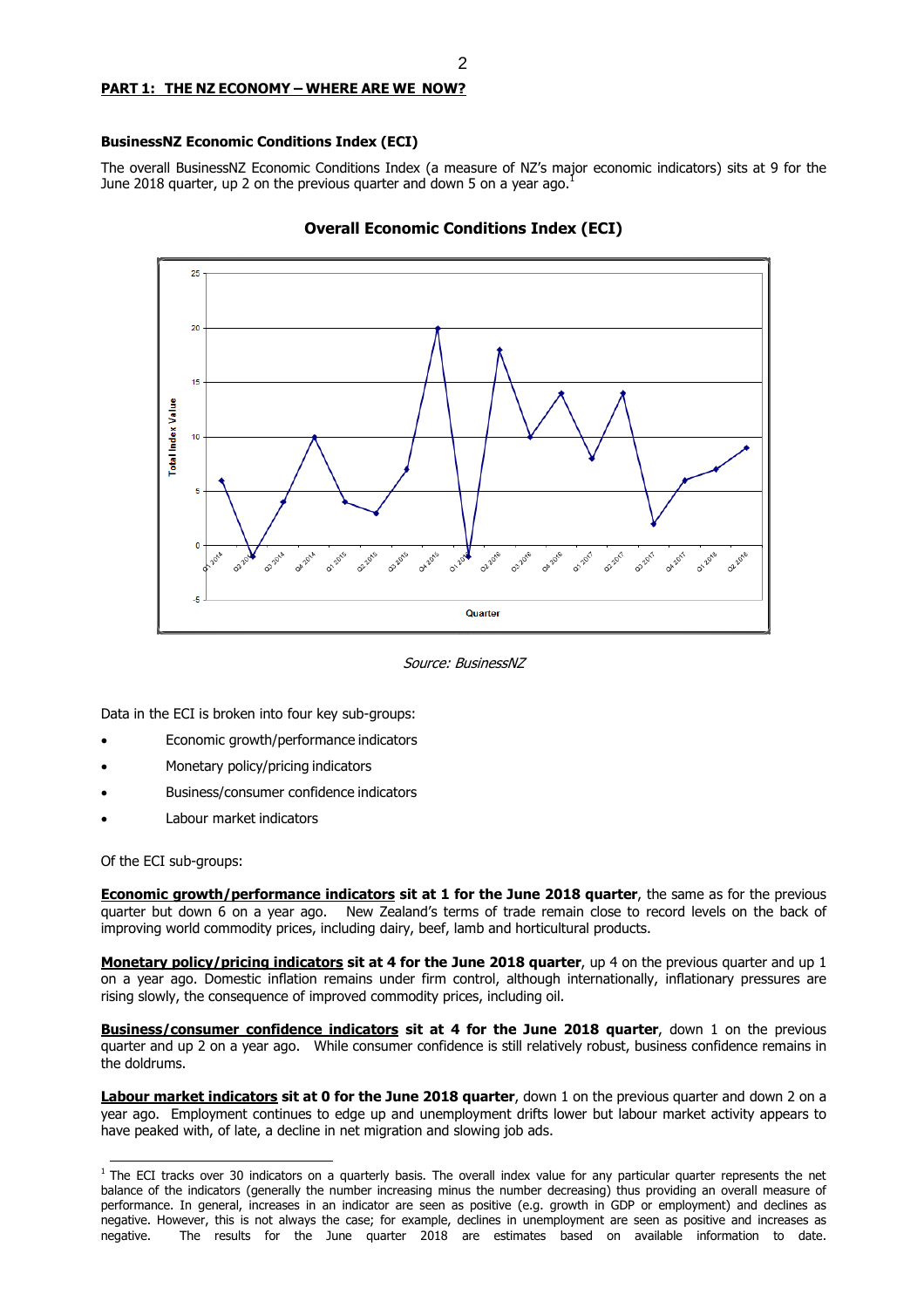# **PART 1: THE NZ ECONOMY – WHERE ARE WE NOW?**

#### **BusinessNZ Economic Conditions Index (ECI)**

The overall BusinessNZ Economic Conditions Index (a measure of NZ's major economic indicators) sits at 9 for the June 2018 quarter, up 2 on the previous quarter and down 5 on a year ago.<sup>1</sup>



# **Overall Economic Conditions Index (ECI)**

Source: BusinessNZ

Data in the ECI is broken into four key sub-groups:

- Economic growth/performance indicators
- Monetary policy/pricing indicators
- Business/consumer confidence indicators
- Labour market indicators

Of the ECI sub-groups:

**Economic growth/performance indicators sit at 1 for the June 2018 quarter**, the same as for the previous quarter but down 6 on a year ago. New Zealand's terms of trade remain close to record levels on the back of improving world commodity prices, including dairy, beef, lamb and horticultural products.

**Monetary policy/pricing indicators sit at 4 for the June 2018 quarter**, up 4 on the previous quarter and up 1 on a year ago. Domestic inflation remains under firm control, although internationally, inflationary pressures are rising slowly, the consequence of improved commodity prices, including oil.

**Business/consumer confidence indicators sit at 4 for the June 2018 quarter**, down 1 on the previous quarter and up 2 on a year ago. While consumer confidence is still relatively robust, business confidence remains in the doldrums.

**Labour market indicators sit at 0 for the June 2018 quarter**, down 1 on the previous quarter and down 2 on a year ago. Employment continues to edge up and unemployment drifts lower but labour market activity appears to have peaked with, of late, a decline in net migration and slowing job ads.

 $1$  The ECI tracks over 30 indicators on a quarterly basis. The overall index value for any particular quarter represents the net balance of the indicators (generally the number increasing minus the number decreasing) thus providing an overall measure of performance. In general, increases in an indicator are seen as positive (e.g. growth in GDP or employment) and declines as negative. However, this is not always the case; for example, declines in unemployment are seen as positive and increases as negative. The results for the June quarter 2018 are estimates based on available information to date.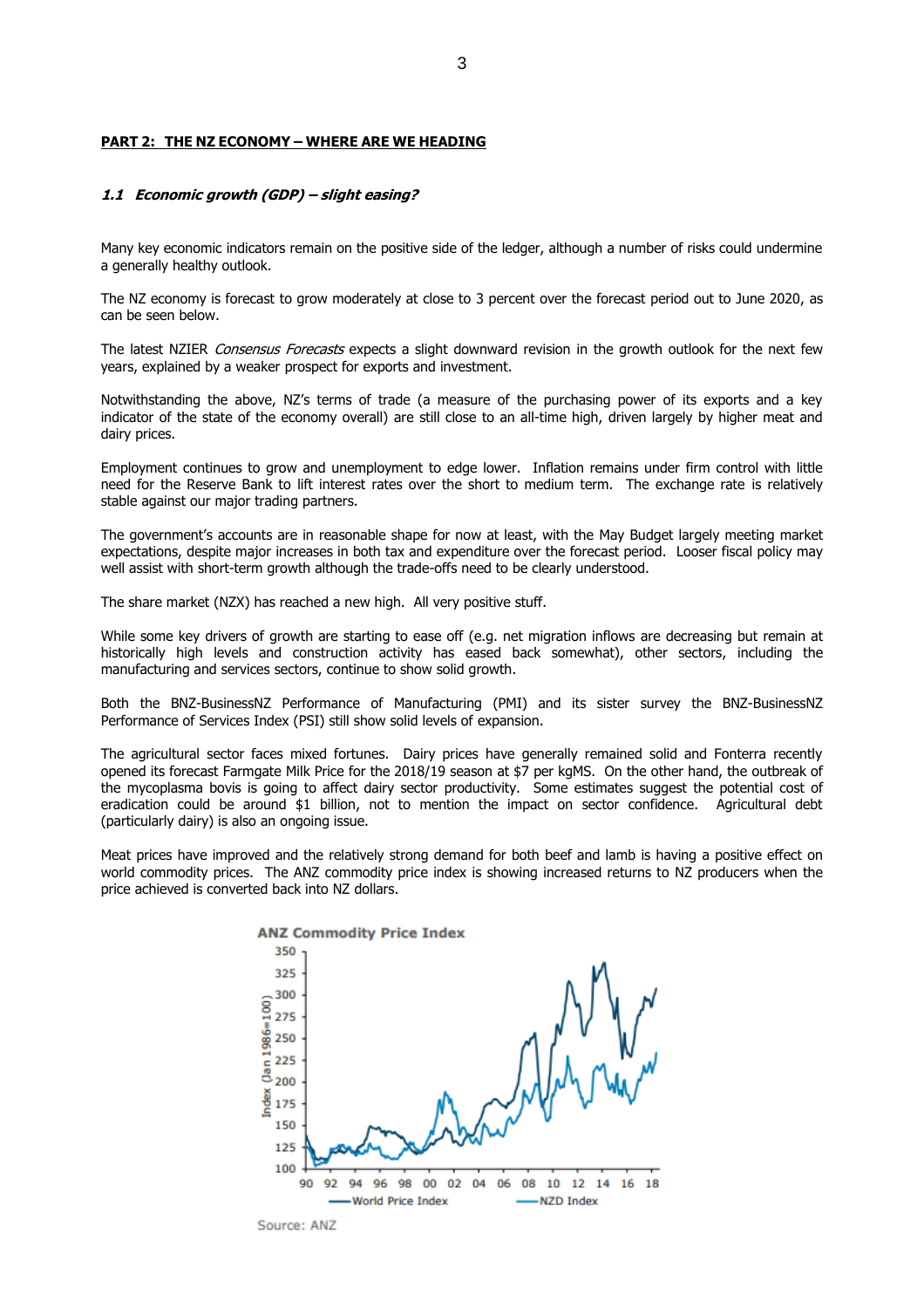#### **PART 2: THE NZ ECONOMY – WHERE ARE WE HEADING**

#### **1.1 Economic growth (GDP) – slight easing?**

Many key economic indicators remain on the positive side of the ledger, although a number of risks could undermine a generally healthy outlook.

The NZ economy is forecast to grow moderately at close to 3 percent over the forecast period out to June 2020, as can be seen below.

The latest NZIER Consensus Forecasts expects a slight downward revision in the growth outlook for the next few years, explained by a weaker prospect for exports and investment.

Notwithstanding the above, NZ's terms of trade (a measure of the purchasing power of its exports and a key indicator of the state of the economy overall) are still close to an all-time high, driven largely by higher meat and dairy prices.

Employment continues to grow and unemployment to edge lower. Inflation remains under firm control with little need for the Reserve Bank to lift interest rates over the short to medium term. The exchange rate is relatively stable against our major trading partners.

The government's accounts are in reasonable shape for now at least, with the May Budget largely meeting market expectations, despite major increases in both tax and expenditure over the forecast period. Looser fiscal policy may well assist with short-term growth although the trade-offs need to be clearly understood.

The share market (NZX) has reached a new high. All very positive stuff.

While some key drivers of growth are starting to ease off (e.g. net migration inflows are decreasing but remain at historically high levels and construction activity has eased back somewhat), other sectors, including the manufacturing and services sectors, continue to show solid growth.

Both the BNZ-BusinessNZ Performance of Manufacturing (PMI) and its sister survey the BNZ-BusinessNZ Performance of Services Index (PSI) still show solid levels of expansion.

The agricultural sector faces mixed fortunes. Dairy prices have generally remained solid and Fonterra recently opened its forecast Farmgate Milk Price for the 2018/19 season at \$7 per kgMS. On the other hand, the outbreak of the mycoplasma bovis is going to affect dairy sector productivity. Some estimates suggest the potential cost of eradication could be around \$1 billion, not to mention the impact on sector confidence. Agricultural debt (particularly dairy) is also an ongoing issue.

Meat prices have improved and the relatively strong demand for both beef and lamb is having a positive effect on world commodity prices. The ANZ commodity price index is showing increased returns to NZ producers when the price achieved is converted back into NZ dollars.

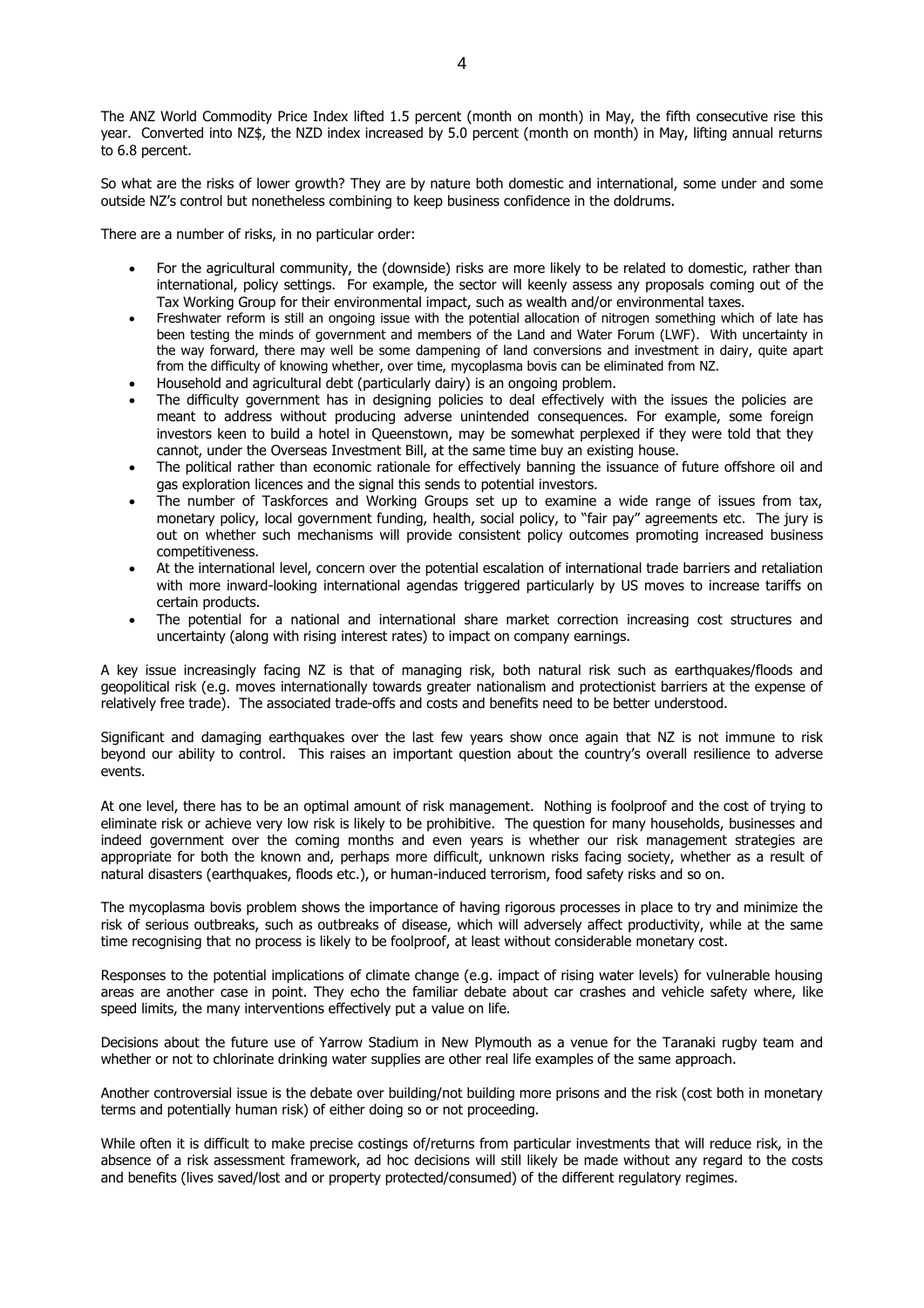The ANZ World Commodity Price Index lifted 1.5 percent (month on month) in May, the fifth consecutive rise this year. Converted into NZ\$, the NZD index increased by 5.0 percent (month on month) in May, lifting annual returns to 6.8 percent.

So what are the risks of lower growth? They are by nature both domestic and international, some under and some outside NZ's control but nonetheless combining to keep business confidence in the doldrums.

There are a number of risks, in no particular order:

- For the agricultural community, the (downside) risks are more likely to be related to domestic, rather than international, policy settings. For example, the sector will keenly assess any proposals coming out of the Tax Working Group for their environmental impact, such as wealth and/or environmental taxes.
- Freshwater reform is still an ongoing issue with the potential allocation of nitrogen something which of late has been testing the minds of government and members of the Land and Water Forum (LWF). With uncertainty in the way forward, there may well be some dampening of land conversions and investment in dairy, quite apart from the difficulty of knowing whether, over time, mycoplasma bovis can be eliminated from NZ.
- Household and agricultural debt (particularly dairy) is an ongoing problem.
- The difficulty government has in designing policies to deal effectively with the issues the policies are meant to address without producing adverse unintended consequences. For example, some foreign investors keen to build a hotel in Queenstown, may be somewhat perplexed if they were told that they cannot, under the Overseas Investment Bill, at the same time buy an existing house.
- The political rather than economic rationale for effectively banning the issuance of future offshore oil and gas exploration licences and the signal this sends to potential investors.
- The number of Taskforces and Working Groups set up to examine a wide range of issues from tax, monetary policy, local government funding, health, social policy, to "fair pay" agreements etc. The jury is out on whether such mechanisms will provide consistent policy outcomes promoting increased business competitiveness.
- At the international level, concern over the potential escalation of international trade barriers and retaliation with more inward-looking international agendas triggered particularly by US moves to increase tariffs on certain products.
- The potential for a national and international share market correction increasing cost structures and uncertainty (along with rising interest rates) to impact on company earnings.

A key issue increasingly facing NZ is that of managing risk, both natural risk such as earthquakes/floods and geopolitical risk (e.g. moves internationally towards greater nationalism and protectionist barriers at the expense of relatively free trade). The associated trade-offs and costs and benefits need to be better understood.

Significant and damaging earthquakes over the last few years show once again that NZ is not immune to risk beyond our ability to control. This raises an important question about the country's overall resilience to adverse events.

At one level, there has to be an optimal amount of risk management. Nothing is foolproof and the cost of trying to eliminate risk or achieve very low risk is likely to be prohibitive. The question for many households, businesses and indeed government over the coming months and even years is whether our risk management strategies are appropriate for both the known and, perhaps more difficult, unknown risks facing society, whether as a result of natural disasters (earthquakes, floods etc.), or human-induced terrorism, food safety risks and so on.

The mycoplasma bovis problem shows the importance of having rigorous processes in place to try and minimize the risk of serious outbreaks, such as outbreaks of disease, which will adversely affect productivity, while at the same time recognising that no process is likely to be foolproof, at least without considerable monetary cost.

Responses to the potential implications of climate change (e.g. impact of rising water levels) for vulnerable housing areas are another case in point. They echo the familiar debate about car crashes and vehicle safety where, like speed limits, the many interventions effectively put a value on life.

Decisions about the future use of Yarrow Stadium in New Plymouth as a venue for the Taranaki rugby team and whether or not to chlorinate drinking water supplies are other real life examples of the same approach.

Another controversial issue is the debate over building/not building more prisons and the risk (cost both in monetary terms and potentially human risk) of either doing so or not proceeding.

While often it is difficult to make precise costings of/returns from particular investments that will reduce risk, in the absence of a risk assessment framework, ad hoc decisions will still likely be made without any regard to the costs and benefits (lives saved/lost and or property protected/consumed) of the different regulatory regimes.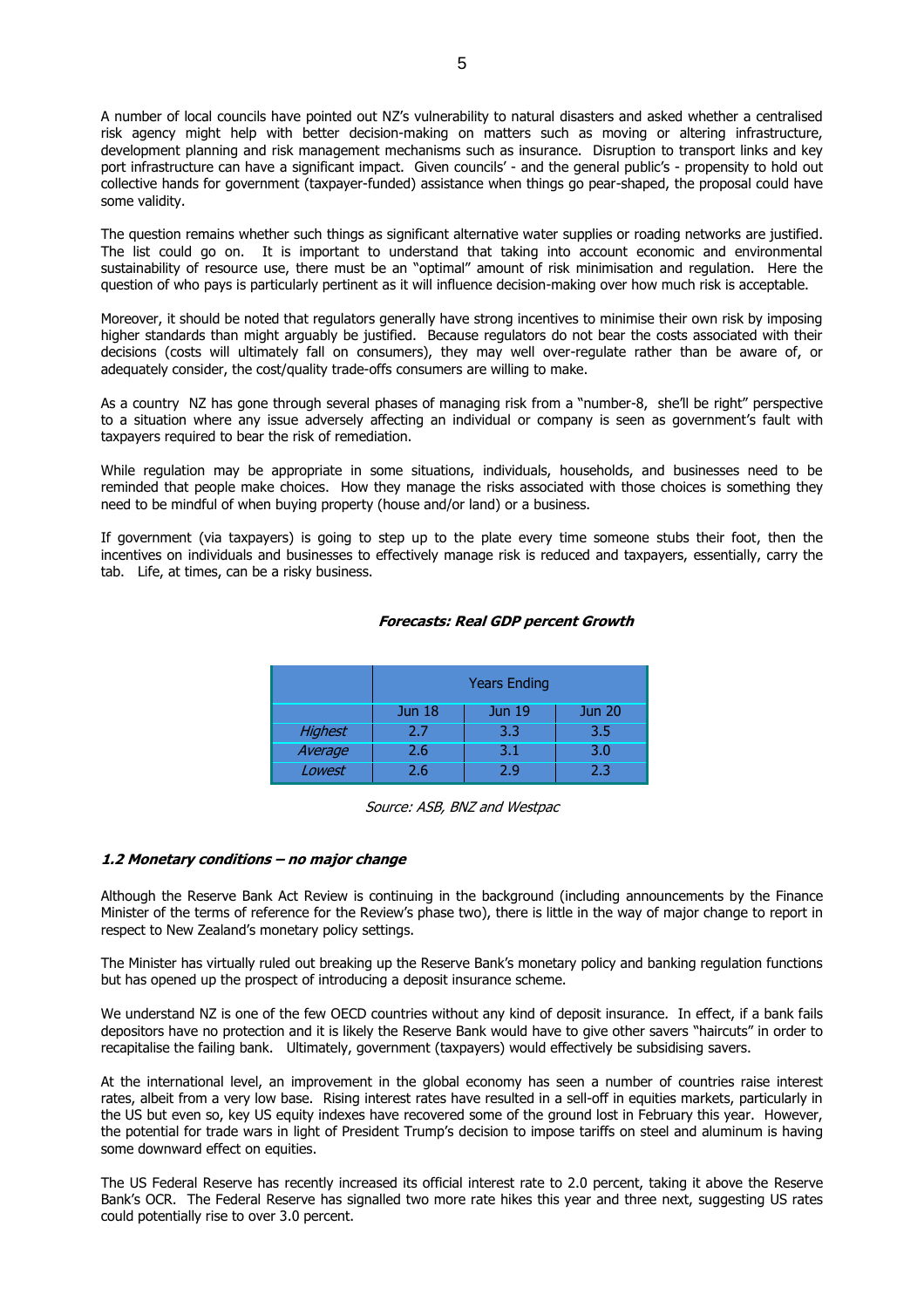A number of local councils have pointed out NZ's vulnerability to natural disasters and asked whether a centralised risk agency might help with better decision-making on matters such as moving or altering infrastructure, development planning and risk management mechanisms such as insurance. Disruption to transport links and key port infrastructure can have a significant impact. Given councils' - and the general public's - propensity to hold out collective hands for government (taxpayer-funded) assistance when things go pear-shaped, the proposal could have some validity.

The question remains whether such things as significant alternative water supplies or roading networks are justified. The list could go on. It is important to understand that taking into account economic and environmental sustainability of resource use, there must be an "optimal" amount of risk minimisation and regulation. Here the question of who pays is particularly pertinent as it will influence decision-making over how much risk is acceptable.

Moreover, it should be noted that regulators generally have strong incentives to minimise their own risk by imposing higher standards than might arguably be justified. Because regulators do not bear the costs associated with their decisions (costs will ultimately fall on consumers), they may well over-regulate rather than be aware of, or adequately consider, the cost/quality trade-offs consumers are willing to make.

As a country NZ has gone through several phases of managing risk from a "number-8, she'll be right" perspective to a situation where any issue adversely affecting an individual or company is seen as government's fault with taxpayers required to bear the risk of remediation.

While regulation may be appropriate in some situations, individuals, households, and businesses need to be reminded that people make choices. How they manage the risks associated with those choices is something they need to be mindful of when buying property (house and/or land) or a business.

If government (via taxpayers) is going to step up to the plate every time someone stubs their foot, then the incentives on individuals and businesses to effectively manage risk is reduced and taxpayers, essentially, carry the tab. Life, at times, can be a risky business.

## **Forecasts: Real GDP percent Growth**

|         | <b>Years Ending</b>                             |     |     |  |  |  |  |
|---------|-------------------------------------------------|-----|-----|--|--|--|--|
|         | <b>Jun 18</b><br><b>Jun 19</b><br><b>Jun 20</b> |     |     |  |  |  |  |
| Highest | 2.7                                             | 3.3 | 3.5 |  |  |  |  |
| Average | 2.6                                             | 3.1 | 3.0 |  |  |  |  |
| Lowest  | 2.6                                             | 2.9 | 2.3 |  |  |  |  |

#### Source: ASB, BNZ and Westpac

#### **1.2 Monetary conditions – no major change**

Although the Reserve Bank Act Review is continuing in the background (including announcements by the Finance Minister of the terms of reference for the Review's phase two), there is little in the way of major change to report in respect to New Zealand's monetary policy settings.

The Minister has virtually ruled out breaking up the Reserve Bank's monetary policy and banking regulation functions but has opened up the prospect of introducing a deposit insurance scheme.

We understand NZ is one of the few OECD countries without any kind of deposit insurance. In effect, if a bank fails depositors have no protection and it is likely the Reserve Bank would have to give other savers "haircuts" in order to recapitalise the failing bank. Ultimately, government (taxpayers) would effectively be subsidising savers.

At the international level, an improvement in the global economy has seen a number of countries raise interest rates, albeit from a very low base. Rising interest rates have resulted in a sell-off in equities markets, particularly in the US but even so, key US equity indexes have recovered some of the ground lost in February this year. However, the potential for trade wars in light of President Trump's decision to impose tariffs on steel and aluminum is having some downward effect on equities.

The US Federal Reserve has recently increased its official interest rate to 2.0 percent, taking it above the Reserve Bank's OCR. The Federal Reserve has signalled two more rate hikes this year and three next, suggesting US rates could potentially rise to over 3.0 percent.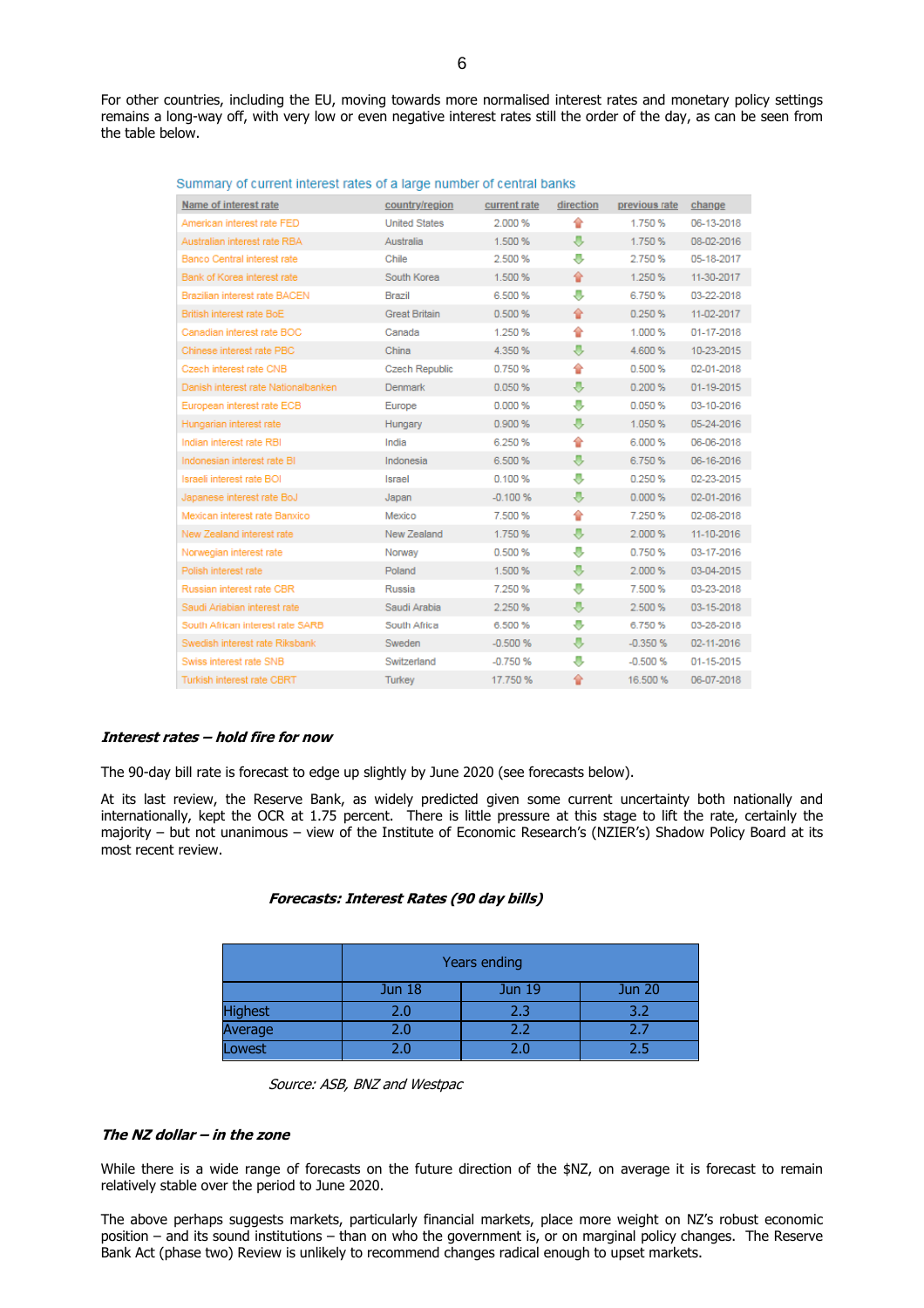| Name of interest rate               | country/region        | current rate | direction | previous rate | change     |
|-------------------------------------|-----------------------|--------------|-----------|---------------|------------|
| American interest rate FED          | <b>United States</b>  | 2.000 %      | €         | 1.750 %       | 06-13-2018 |
| Australian interest rate RBA        | Australia             | 1.500 %      | ⊕         | 1.750 %       | 08-02-2016 |
| Banco Central interest rate         | Chile                 | 2.500 %      | 寻         | 2.750 %       | 05-18-2017 |
| Bank of Korea interest rate         | South Korea           | 1.500 %      | 슢         | 1.250 %       | 11-30-2017 |
| Brazilian interest rate BACEN       | <b>Brazil</b>         | 6.500 %      | J.        | 6.750 %       | 03-22-2018 |
| British interest rate BoE           | <b>Great Britain</b>  | 0.500%       | 슢         | 0.250%        | 11-02-2017 |
| Canadian interest rate BOC          | Canada                | 1.250 %      | 슿         | 1.000 %       | 01-17-2018 |
| Chinese interest rate PBC           | China                 | 4.350 %      | ⊕         | 4.600 %       | 10-23-2015 |
| Czech interest rate CNB             | <b>Czech Republic</b> | 0.750 %      | 슿         | 0.500%        | 02-01-2018 |
| Danish interest rate Nationalbanken | <b>Denmark</b>        | 0.050%       | ⊕         | 0.200%        | 01-19-2015 |
| European interest rate ECB          | Europe                | 0.000%       | J,        | 0.050 %       | 03-10-2016 |
| Hungarian interest rate             | Hungary               | 0.900 %      | ⊕         | 1.050 %       | 05-24-2016 |
| Indian interest rate RBI            | India                 | 6.250 %      | 슬         | 6.000 %       | 06-06-2018 |
| Indonesian interest rate BI         | Indonesia             | 6.500 %      | ⊕         | 6.750 %       | 06-16-2016 |
| Israeli interest rate BOI           | Israel                | 0.100%       | ⊕         | 0.250%        | 02-23-2015 |
| Japanese interest rate BoJ          | Japan                 | $-0.100%$    | ⊕         | 0.000%        | 02-01-2016 |
| Mexican interest rate Banxico       | Mexico                | 7.500 %      | 습         | 7.250%        | 02-08-2018 |
| New Zealand interest rate           | New Zealand           | 1.750 %      | 寻         | 2.000 %       | 11-10-2016 |
| Norwegian interest rate             | Norway                | 0.500%       | ⊕         | 0.750 %       | 03-17-2016 |
| Polish interest rate                | Poland                | 1.500 %      | 寻         | 2.000 %       | 03-04-2015 |
| Russian interest rate CBR           | Russia                | 7.250 %      | J,        | 7.500 %       | 03-23-2018 |
| Saudi Ariabian interest rate        | Saudi Arabia          | 2.250 %      | ⊕         | 2.500 %       | 03-15-2018 |
| South African interest rate SARB    | South Africa          | 6.500 %      | ⊕         | 6.750 %       | 03-28-2018 |
| Swedish interest rate Riksbank      | Sweden                | $-0.500%$    | ⊕         | $-0.350%$     | 02-11-2016 |
| Swiss interest rate SNB             | Switzerland           | $-0.750%$    | J,        | $-0.500%$     | 01-15-2015 |
| Turkish interest rate CBRT          | Turkey                | 17.750 %     | 슿         | 16.500 %      | 06-07-2018 |

|  |  |  | Summary of current interest rates of a large number of central banks |
|--|--|--|----------------------------------------------------------------------|
|--|--|--|----------------------------------------------------------------------|

#### **Interest rates – hold fire for now**

The 90-day bill rate is forecast to edge up slightly by June 2020 (see forecasts below).

At its last review, the Reserve Bank, as widely predicted given some current uncertainty both nationally and internationally, kept the OCR at 1.75 percent. There is little pressure at this stage to lift the rate, certainly the majority – but not unanimous – view of the Institute of Economic Research's (NZIER's) Shadow Policy Board at its most recent review.

#### **Forecasts: Interest Rates (90 day bills)**

|                | Years ending                             |     |     |  |  |  |  |
|----------------|------------------------------------------|-----|-----|--|--|--|--|
|                | <b>Jun 20</b><br>Jun 19<br><b>Jun 18</b> |     |     |  |  |  |  |
| <b>Highest</b> | 2.0                                      | 2.3 | 3.2 |  |  |  |  |
| Average        | 2.0                                      | 2.2 | 2.7 |  |  |  |  |
| Lowest         | 2.0                                      |     |     |  |  |  |  |

Source: ASB, BNZ and Westpac

#### **The NZ dollar – in the zone**

While there is a wide range of forecasts on the future direction of the \$NZ, on average it is forecast to remain relatively stable over the period to June 2020.

The above perhaps suggests markets, particularly financial markets, place more weight on NZ's robust economic position – and its sound institutions – than on who the government is, or on marginal policy changes. The Reserve Bank Act (phase two) Review is unlikely to recommend changes radical enough to upset markets.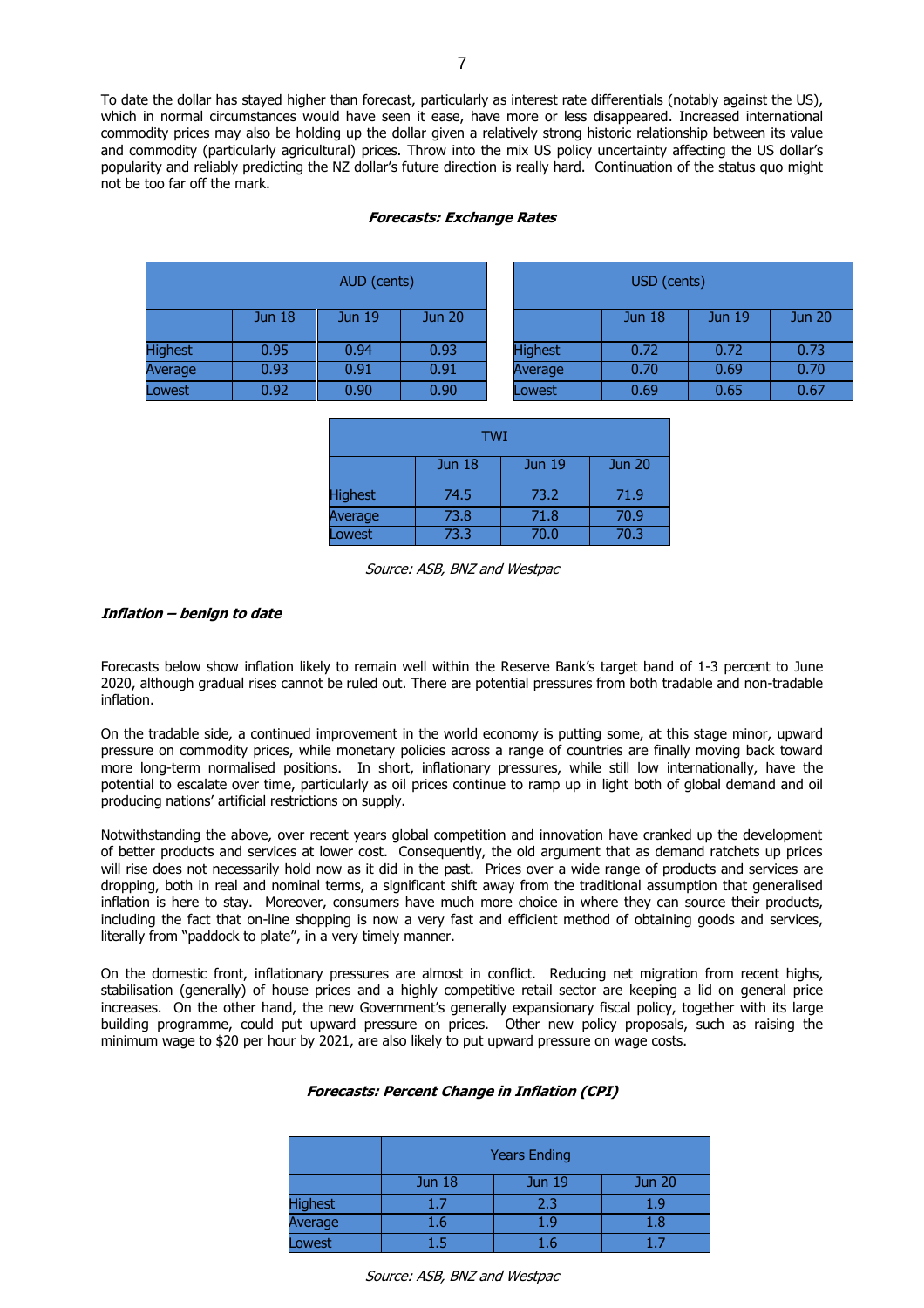To date the dollar has stayed higher than forecast, particularly as interest rate differentials (notably against the US), which in normal circumstances would have seen it ease, have more or less disappeared. Increased international commodity prices may also be holding up the dollar given a relatively strong historic relationship between its value and commodity (particularly agricultural) prices. Throw into the mix US policy uncertainty affecting the US dollar's popularity and reliably predicting the NZ dollar's future direction is really hard. Continuation of the status quo might not be too far off the mark.

#### **Forecasts: Exchange Rates**

| AUD (cents)    |                   |               | USD (cents)   |                |               |               |               |
|----------------|-------------------|---------------|---------------|----------------|---------------|---------------|---------------|
|                | Jun <sub>18</sub> | <b>Jun 19</b> | <b>Jun 20</b> |                | <b>Jun 18</b> | <b>Jun 19</b> | <b>Jun 20</b> |
| <b>Highest</b> | 0.95              | 0.94          | 0.93          | <b>Highest</b> | 0.72          | 0.72          | 0.73          |
| Average        | 0.93              | 0.91          | 0.91          | Average        | 0.70          | 0.69          | 0.70          |
| Lowest         | 0.92              | 0.90          | 0.90          | Lowest         | 0.69          | 0.65          | 0.67          |

| TWI                                                 |      |      |      |  |  |  |  |  |
|-----------------------------------------------------|------|------|------|--|--|--|--|--|
| <b>Jun 19</b><br>Jun <sub>18</sub><br><b>Jun 20</b> |      |      |      |  |  |  |  |  |
| <b>Highest</b>                                      | 74.5 | 73.2 | 71.9 |  |  |  |  |  |
| Average                                             | 73.8 | 71.8 | 70.9 |  |  |  |  |  |
| Lowest                                              | 73.3 | 70.0 | 70.3 |  |  |  |  |  |

#### Source: ASB, BNZ and Westpac

#### **Inflation – benign to date**

Forecasts below show inflation likely to remain well within the Reserve Bank's target band of 1-3 percent to June 2020, although gradual rises cannot be ruled out. There are potential pressures from both tradable and non-tradable inflation.

On the tradable side, a continued improvement in the world economy is putting some, at this stage minor, upward pressure on commodity prices, while monetary policies across a range of countries are finally moving back toward more long-term normalised positions. In short, inflationary pressures, while still low internationally, have the potential to escalate over time, particularly as oil prices continue to ramp up in light both of global demand and oil producing nations' artificial restrictions on supply.

Notwithstanding the above, over recent years global competition and innovation have cranked up the development of better products and services at lower cost. Consequently, the old argument that as demand ratchets up prices will rise does not necessarily hold now as it did in the past. Prices over a wide range of products and services are dropping, both in real and nominal terms, a significant shift away from the traditional assumption that generalised inflation is here to stay. Moreover, consumers have much more choice in where they can source their products, including the fact that on-line shopping is now a very fast and efficient method of obtaining goods and services, literally from "paddock to plate", in a very timely manner.

On the domestic front, inflationary pressures are almost in conflict. Reducing net migration from recent highs, stabilisation (generally) of house prices and a highly competitive retail sector are keeping a lid on general price increases. On the other hand, the new Government's generally expansionary fiscal policy, together with its large building programme, could put upward pressure on prices. Other new policy proposals, such as raising the minimum wage to \$20 per hour by 2021, are also likely to put upward pressure on wage costs.

#### **Forecasts: Percent Change in Inflation (CPI)**

|                | <b>Years Ending</b> |               |               |  |  |  |
|----------------|---------------------|---------------|---------------|--|--|--|
|                | <b>Jun 18</b>       | <b>Jun 19</b> | <b>Jun 20</b> |  |  |  |
| <b>Highest</b> | 1.7                 | 2.3           | 1.9           |  |  |  |
| Average        | $1.6\,$             | 1.9           | $1.8\,$       |  |  |  |
| Lowest         |                     | L.6           |               |  |  |  |

Source: ASB, BNZ and Westpac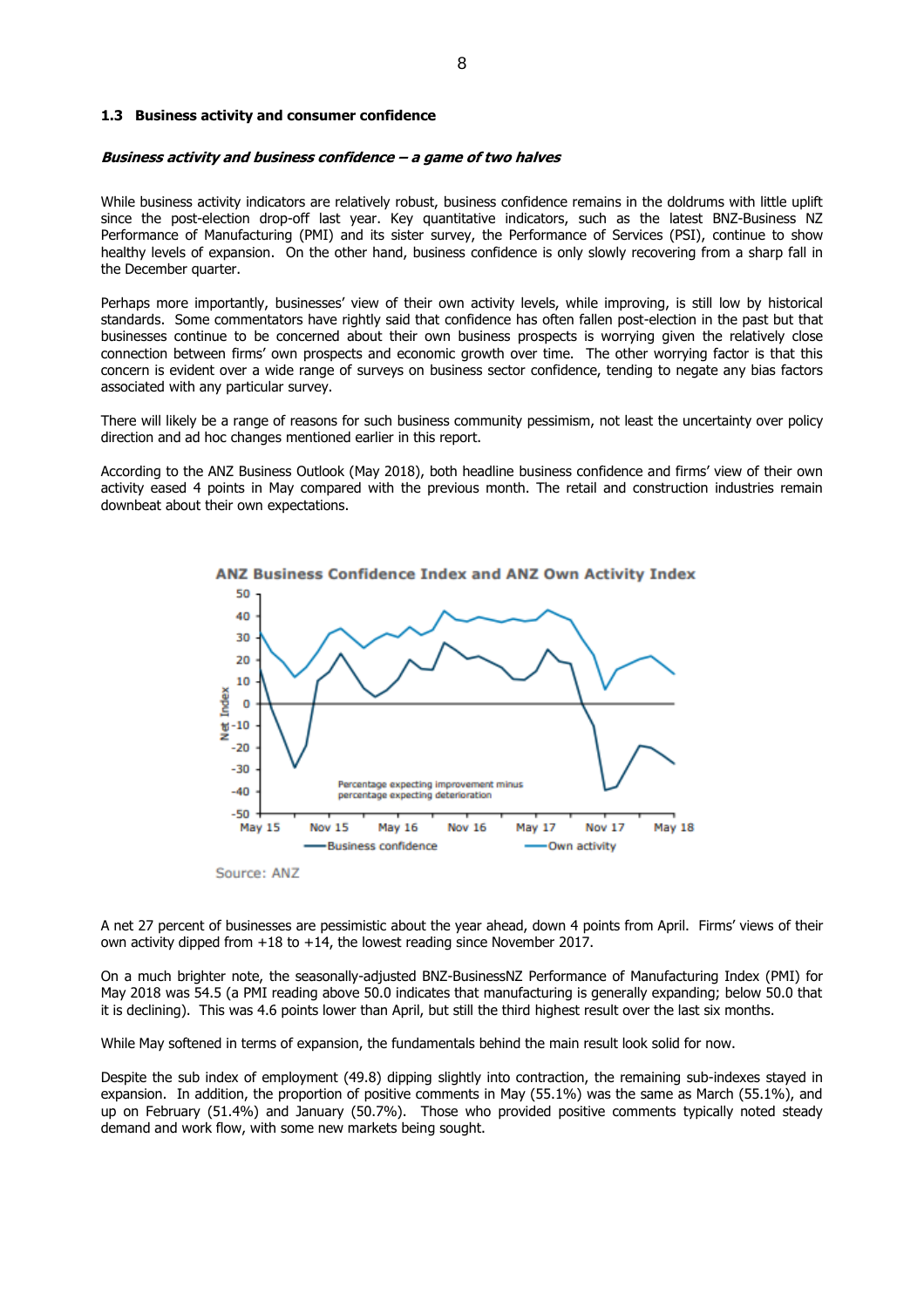#### **1.3 Business activity and consumer confidence**

#### **Business activity and business confidence – a game of two halves**

While business activity indicators are relatively robust, business confidence remains in the doldrums with little uplift since the post-election drop-off last year. Key quantitative indicators, such as the latest BNZ-Business NZ Performance of Manufacturing (PMI) and its sister survey, the Performance of Services (PSI), continue to show healthy levels of expansion. On the other hand, business confidence is only slowly recovering from a sharp fall in the December quarter.

Perhaps more importantly, businesses' view of their own activity levels, while improving, is still low by historical standards. Some commentators have rightly said that confidence has often fallen post-election in the past but that businesses continue to be concerned about their own business prospects is worrying given the relatively close connection between firms' own prospects and economic growth over time. The other worrying factor is that this concern is evident over a wide range of surveys on business sector confidence, tending to negate any bias factors associated with any particular survey.

There will likely be a range of reasons for such business community pessimism, not least the uncertainty over policy direction and ad hoc changes mentioned earlier in this report.

According to the ANZ Business Outlook (May 2018), both headline business confidence and firms' view of their own activity eased 4 points in May compared with the previous month. The retail and construction industries remain downbeat about their own expectations.



A net 27 percent of businesses are pessimistic about the year ahead, down 4 points from April. Firms' views of their own activity dipped from +18 to +14, the lowest reading since November 2017.

On a much brighter note, the seasonally-adjusted BNZ-BusinessNZ Performance of Manufacturing Index (PMI) for May 2018 was 54.5 (a PMI reading above 50.0 indicates that manufacturing is generally expanding; below 50.0 that it is declining). This was 4.6 points lower than April, but still the third highest result over the last six months.

While May softened in terms of expansion, the fundamentals behind the main result look solid for now.

Despite the sub index of employment (49.8) dipping slightly into contraction, the remaining sub-indexes stayed in expansion. In addition, the proportion of positive comments in May (55.1%) was the same as March (55.1%), and up on February (51.4%) and January (50.7%). Those who provided positive comments typically noted steady demand and work flow, with some new markets being sought.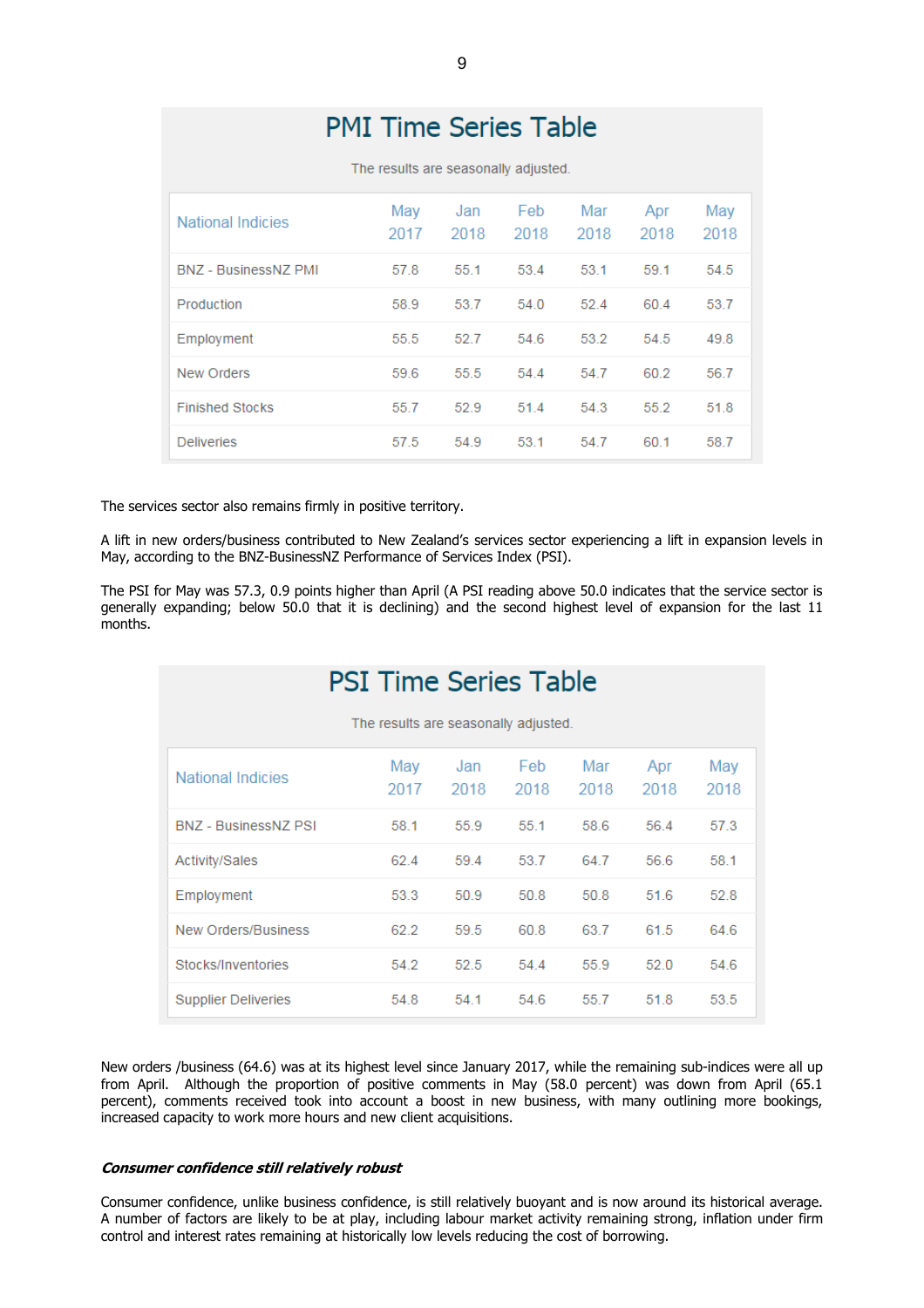| <b>PMI Time Series Table</b> |             |                                      |              |             |             |             |
|------------------------------|-------------|--------------------------------------|--------------|-------------|-------------|-------------|
|                              |             | The results are seasonally adjusted. |              |             |             |             |
| <b>National Indicies</b>     | May<br>2017 | Jan<br>2018                          | Feb.<br>2018 | Mar<br>2018 | Apr<br>2018 | May<br>2018 |
| <b>BNZ - BusinessNZ PMI</b>  | 57.8        | 55.1                                 | 53.4         | 53.1        | 59.1        | 54.5        |
| Production                   | 58.9        | 53.7                                 | 54.0         | 52.4        | 60.4        | 53.7        |
| Employment                   | 55.5        | 52.7                                 | 54.6         | 53.2        | 54.5        | 49.8        |
| <b>New Orders</b>            | 59.6        | 55.5                                 | 54.4         | 54.7        | 60.2        | 56.7        |
| <b>Finished Stocks</b>       | 55.7        | 52.9                                 | 51.4         | 54.3        | 55.2        | 51.8        |
| <b>Deliveries</b>            | 57.5        | 54.9                                 | 53.1         | 54.7        | 60.1        | 58.7        |

The services sector also remains firmly in positive territory.

A lift in new orders/business contributed to New Zealand's services sector experiencing a lift in expansion levels in May, according to the BNZ-BusinessNZ Performance of Services Index (PSI).

The PSI for May was 57.3, 0.9 points higher than April (A PSI reading above 50.0 indicates that the service sector is generally expanding; below 50.0 that it is declining) and the second highest level of expansion for the last 11 months.

| <b>PSI Time Series Table</b> |                                      |             |              |             |             |             |
|------------------------------|--------------------------------------|-------------|--------------|-------------|-------------|-------------|
|                              | The results are seasonally adjusted. |             |              |             |             |             |
| <b>National Indicies</b>     | May<br>2017                          | Jan<br>2018 | Feb.<br>2018 | Mar<br>2018 | Apr<br>2018 | May<br>2018 |
| <b>BNZ</b> - BusinessNZ PSI  | 58.1                                 | 55.9        | 55.1         | 58.6        | 56.4        | 57.3        |
| <b>Activity/Sales</b>        | 62.4                                 | 59.4        | 53.7         | 647         | 56.6        | 58.1        |
| Employment                   | 53.3                                 | 50.9        | 50.8         | 50.8        | 51.6        | 52.8        |
| New Orders/Business          | 62.2                                 | 59.5        | 60.8         | 63.7        | 61.5        | 64.6        |
| Stocks/Inventories           | 54.2                                 | 52.5        | 54.4         | 55.9        | 520         | 54.6        |
| <b>Supplier Deliveries</b>   | 54.8                                 | 54.1        | 54.6         | 55.7        | 51.8        | 53.5        |

New orders /business (64.6) was at its highest level since January 2017, while the remaining sub-indices were all up from April. Although the proportion of positive comments in May (58.0 percent) was down from April (65.1 percent), comments received took into account a boost in new business, with many outlining more bookings, increased capacity to work more hours and new client acquisitions.

#### **Consumer confidence still relatively robust**

Consumer confidence, unlike business confidence, is still relatively buoyant and is now around its historical average. A number of factors are likely to be at play, including labour market activity remaining strong, inflation under firm control and interest rates remaining at historically low levels reducing the cost of borrowing.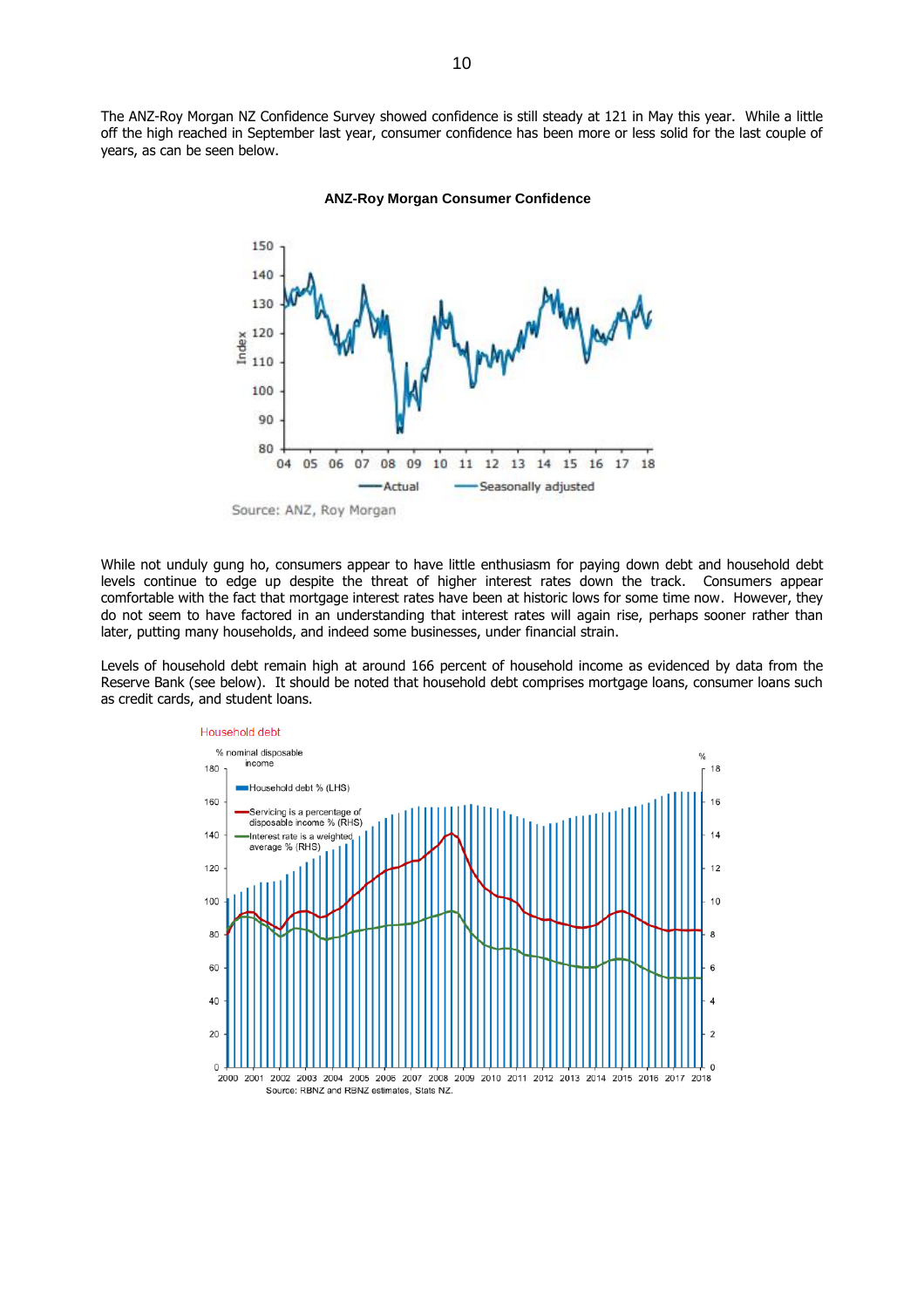The ANZ-Roy Morgan NZ Confidence Survey showed confidence is still steady at 121 in May this year. While a little off the high reached in September last year, consumer confidence has been more or less solid for the last couple of years, as can be seen below.



## **ANZ-Roy Morgan Consumer Confidence**

While not unduly gung ho, consumers appear to have little enthusiasm for paying down debt and household debt levels continue to edge up despite the threat of higher interest rates down the track. Consumers appear comfortable with the fact that mortgage interest rates have been at historic lows for some time now. However, they do not seem to have factored in an understanding that interest rates will again rise, perhaps sooner rather than later, putting many households, and indeed some businesses, under financial strain.

Levels of household debt remain high at around 166 percent of household income as evidenced by data from the Reserve Bank (see below). It should be noted that household debt comprises mortgage loans, consumer loans such as credit cards, and student loans.

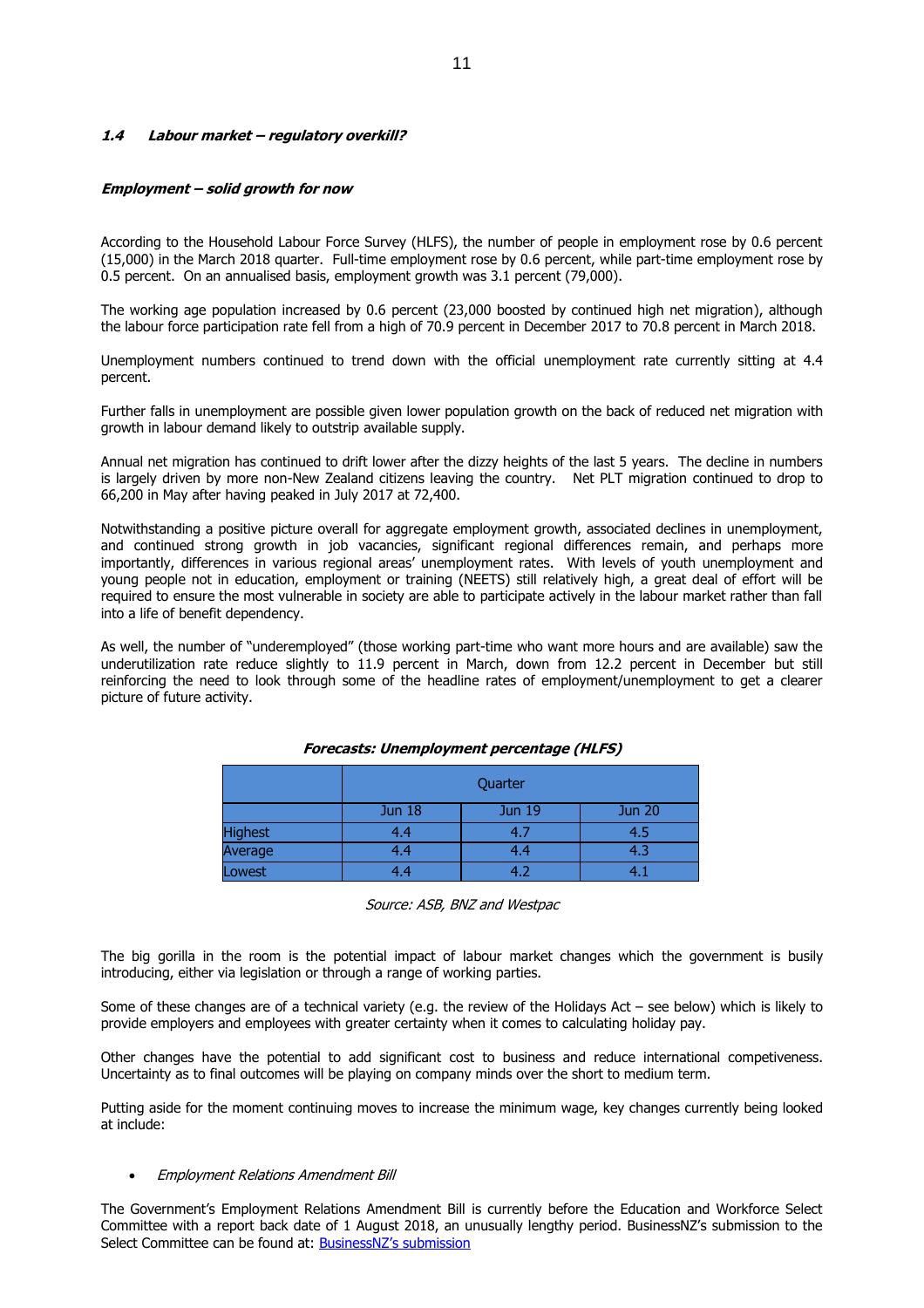## **1.4 Labour market – regulatory overkill?**

#### **Employment – solid growth for now**

According to the Household Labour Force Survey (HLFS), the number of people in employment rose by 0.6 percent (15,000) in the March 2018 quarter. Full-time employment rose by 0.6 percent, while part-time employment rose by 0.5 percent. On an annualised basis, employment growth was 3.1 percent (79,000).

The working age population increased by 0.6 percent (23,000 boosted by continued high net migration), although the labour force participation rate fell from a high of 70.9 percent in December 2017 to 70.8 percent in March 2018.

Unemployment numbers continued to trend down with the official unemployment rate currently sitting at 4.4 percent.

Further falls in unemployment are possible given lower population growth on the back of reduced net migration with growth in labour demand likely to outstrip available supply.

Annual net migration has continued to drift lower after the dizzy heights of the last 5 years. The decline in numbers is largely driven by more non-New Zealand citizens leaving the country. Net PLT migration continued to drop to 66,200 in May after having peaked in July 2017 at 72,400.

Notwithstanding a positive picture overall for aggregate employment growth, associated declines in unemployment, and continued strong growth in job vacancies, significant regional differences remain, and perhaps more importantly, differences in various regional areas' unemployment rates. With levels of youth unemployment and young people not in education, employment or training (NEETS) still relatively high, a great deal of effort will be required to ensure the most vulnerable in society are able to participate actively in the labour market rather than fall into a life of benefit dependency.

As well, the number of "underemployed" (those working part-time who want more hours and are available) saw the underutilization rate reduce slightly to 11.9 percent in March, down from 12.2 percent in December but still reinforcing the need to look through some of the headline rates of employment/unemployment to get a clearer picture of future activity.

|                | Quarter       |        |               |  |  |
|----------------|---------------|--------|---------------|--|--|
|                | <b>Jun 18</b> | Jun 19 | <b>Jun 20</b> |  |  |
| <b>Highest</b> | 4.4           | 4.7    | 4.5           |  |  |
| Average        | 4.4           | 4.4    | 4.3           |  |  |
| Lowest         | 4.4           | 4.2    |               |  |  |

#### **Forecasts: Unemployment percentage (HLFS)**

Source: ASB, BNZ and Westpac

The big gorilla in the room is the potential impact of labour market changes which the government is busily introducing, either via legislation or through a range of working parties.

Some of these changes are of a technical variety (e.g. the review of the Holidays Act – see below) which is likely to provide employers and employees with greater certainty when it comes to calculating holiday pay.

Other changes have the potential to add significant cost to business and reduce international competiveness. Uncertainty as to final outcomes will be playing on company minds over the short to medium term.

Putting aside for the moment continuing moves to increase the minimum wage, key changes currently being looked at include:

#### Employment Relations Amendment Bill

The Government's Employment Relations Amendment Bill is currently before the Education and Workforce Select Committee with a report back date of 1 August 2018, an unusually lengthy period. BusinessNZ's submission to the Select Committee can be found at: [BusinessNZ's submission](https://www.businessnz.org.nz/__data/assets/pdf_file/0019/143605/180329-Employment-Relations-Amendment-Bill.pdf)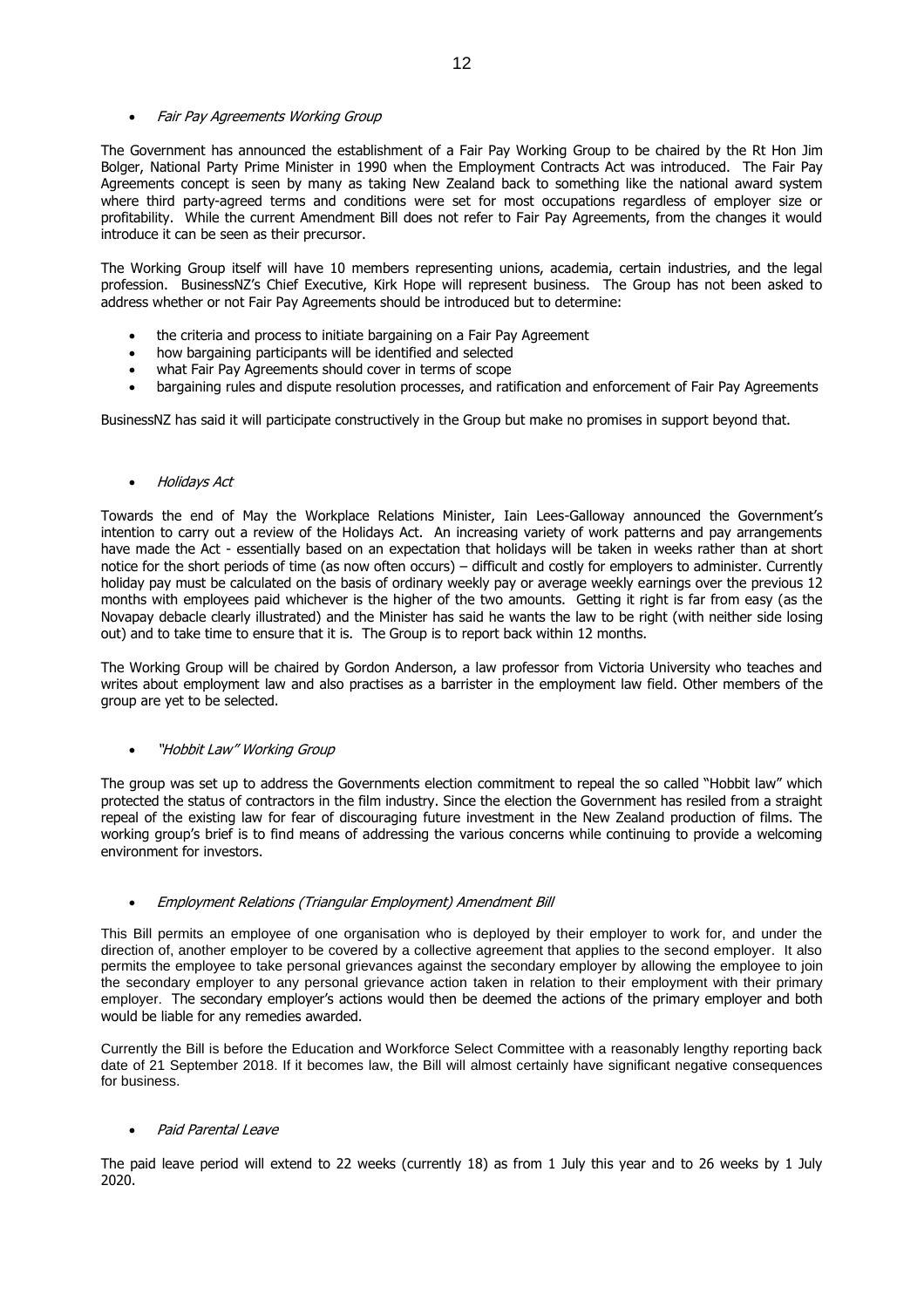## • Fair Pay Agreements Working Group

The Government has announced the establishment of a Fair Pay Working Group to be chaired by the Rt Hon Jim Bolger, National Party Prime Minister in 1990 when the Employment Contracts Act was introduced. The Fair Pay Agreements concept is seen by many as taking New Zealand back to something like the national award system where third party-agreed terms and conditions were set for most occupations regardless of employer size or profitability. While the current Amendment Bill does not refer to Fair Pay Agreements, from the changes it would introduce it can be seen as their precursor.

The Working Group itself will have 10 members representing unions, academia, certain industries, and the legal profession. BusinessNZ's Chief Executive, Kirk Hope will represent business. The Group has not been asked to address whether or not Fair Pay Agreements should be introduced but to determine:

- the criteria and process to initiate bargaining on a Fair Pay Agreement
- how bargaining participants will be identified and selected
- what Fair Pay Agreements should cover in terms of scope
- bargaining rules and dispute resolution processes, and ratification and enforcement of Fair Pay Agreements

BusinessNZ has said it will participate constructively in the Group but make no promises in support beyond that.

## • Holidays Act

Towards the end of May the Workplace Relations Minister, Iain Lees-Galloway announced the Government's intention to carry out a review of the Holidays Act. An increasing variety of work patterns and pay arrangements have made the Act - essentially based on an expectation that holidays will be taken in weeks rather than at short notice for the short periods of time (as now often occurs) – difficult and costly for employers to administer. Currently holiday pay must be calculated on the basis of ordinary weekly pay or average weekly earnings over the previous 12 months with employees paid whichever is the higher of the two amounts. Getting it right is far from easy (as the Novapay debacle clearly illustrated) and the Minister has said he wants the law to be right (with neither side losing out) and to take time to ensure that it is. The Group is to report back within 12 months.

The Working Group will be chaired by Gordon Anderson, a law professor from Victoria University who teaches and writes about employment law and also practises as a barrister in the employment law field. Other members of the group are yet to be selected.

# "Hobbit Law" Working Group

The group was set up to address the Governments election commitment to repeal the so called "Hobbit law" which protected the status of contractors in the film industry. Since the election the Government has resiled from a straight repeal of the existing law for fear of discouraging future investment in the New Zealand production of films. The working group's brief is to find means of addressing the various concerns while continuing to provide a welcoming environment for investors.

# Employment Relations (Triangular Employment) Amendment Bill

This Bill permits an employee of one organisation who is deployed by their employer to work for, and under the direction of, another employer to be covered by a collective agreement that applies to the second employer. It also permits the employee to take personal grievances against the secondary employer by allowing the employee to join the secondary employer to any personal grievance action taken in relation to their employment with their primary employer. The secondary employer's actions would then be deemed the actions of the primary employer and both would be liable for any remedies awarded.

Currently the Bill is before the Education and Workforce Select Committee with a reasonably lengthy reporting back date of 21 September 2018. If it becomes law, the Bill will almost certainly have significant negative consequences for business.

# Paid Parental Leave

The paid leave period will extend to 22 weeks (currently 18) as from 1 July this year and to 26 weeks by 1 July 2020.